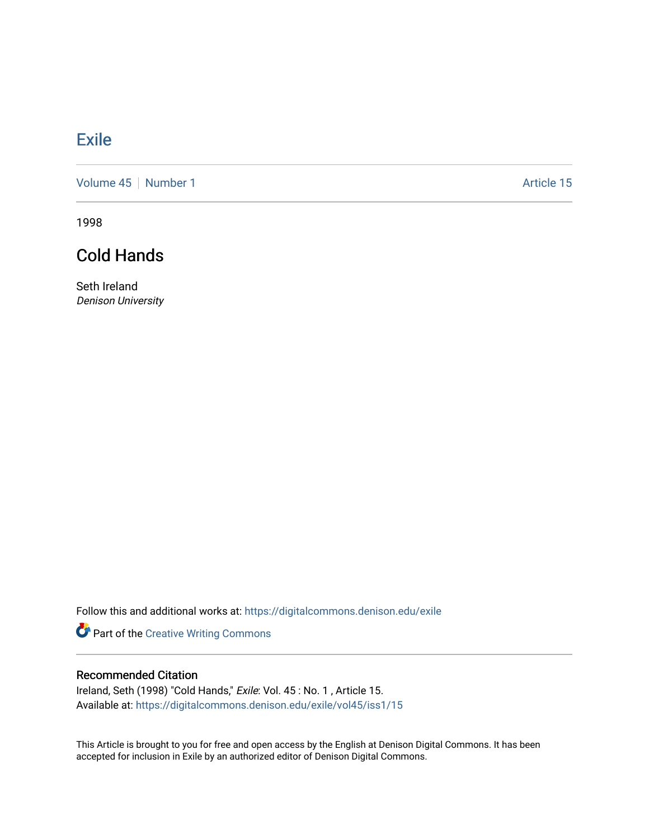## **[Exile](https://digitalcommons.denison.edu/exile)**

[Volume 45](https://digitalcommons.denison.edu/exile/vol45) | [Number 1](https://digitalcommons.denison.edu/exile/vol45/iss1) Article 15

1998

## Cold Hands

Seth Ireland Denison University

Follow this and additional works at: [https://digitalcommons.denison.edu/exile](https://digitalcommons.denison.edu/exile?utm_source=digitalcommons.denison.edu%2Fexile%2Fvol45%2Fiss1%2F15&utm_medium=PDF&utm_campaign=PDFCoverPages) 

Part of the [Creative Writing Commons](http://network.bepress.com/hgg/discipline/574?utm_source=digitalcommons.denison.edu%2Fexile%2Fvol45%2Fiss1%2F15&utm_medium=PDF&utm_campaign=PDFCoverPages) 

## Recommended Citation

Ireland, Seth (1998) "Cold Hands," Exile: Vol. 45 : No. 1 , Article 15. Available at: [https://digitalcommons.denison.edu/exile/vol45/iss1/15](https://digitalcommons.denison.edu/exile/vol45/iss1/15?utm_source=digitalcommons.denison.edu%2Fexile%2Fvol45%2Fiss1%2F15&utm_medium=PDF&utm_campaign=PDFCoverPages)

This Article is brought to you for free and open access by the English at Denison Digital Commons. It has been accepted for inclusion in Exile by an authorized editor of Denison Digital Commons.